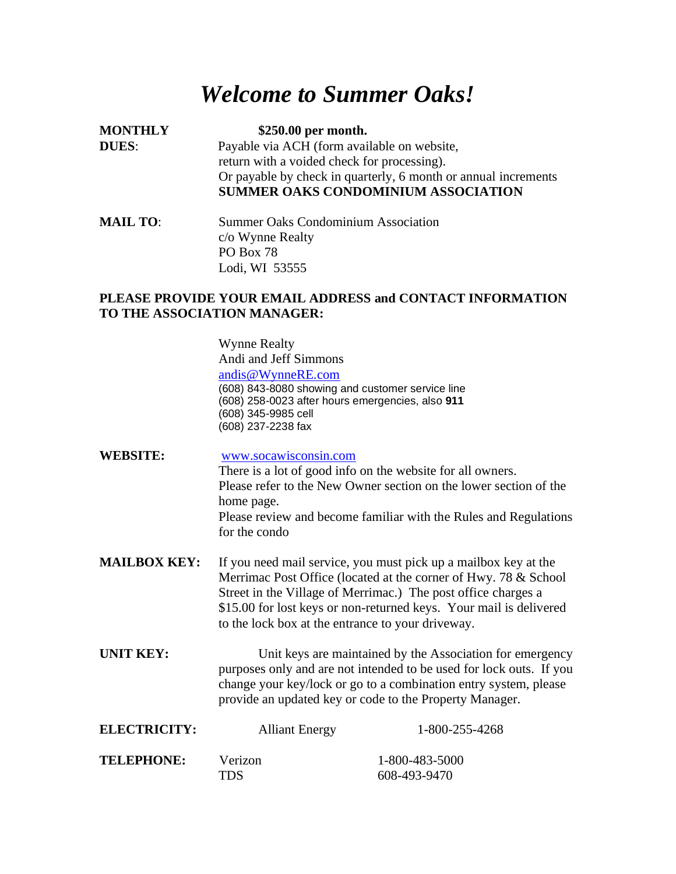## *Welcome to Summer Oaks!*

**MONTHLY \$250.00 per month. DUES:** Payable via ACH (form available on website, return with a voided check for processing). Or payable by check in quarterly, 6 month or annual increments **SUMMER OAKS CONDOMINIUM ASSOCIATION**

**MAIL TO:** Summer Oaks Condominium Association c/o Wynne Realty PO Box 78 Lodi, WI 53555

## **PLEASE PROVIDE YOUR EMAIL ADDRESS and CONTACT INFORMATION TO THE ASSOCIATION MANAGER:**

Wynne Realty Andi and Jeff Simmons

[andis@WynneRE.com](mailto:andis@WynneRE.com) (608) 843-8080 showing and customer service line

(608) 258-0023 after hours emergencies, also **911**

- (608) 345-9985 cell
- (608) 237-2238 fax

**WEBSITE:** [www.socawisconsin.com](http://www.socawisconsin.com/) There is a lot of good info on the website for all owners. Please refer to the New Owner section on the lower section of the home page. Please review and become familiar with the Rules and Regulations for the condo

- **MAILBOX KEY:** If you need mail service, you must pick up a mailbox key at the Merrimac Post Office (located at the corner of Hwy. 78 & School Street in the Village of Merrimac.) The post office charges a \$15.00 for lost keys or non-returned keys. Your mail is delivered to the lock box at the entrance to your driveway.
- **UNIT KEY:** Unit keys are maintained by the Association for emergency purposes only and are not intended to be used for lock outs. If you change your key/lock or go to a combination entry system, please provide an updated key or code to the Property Manager.

| <b>ELECTRICITY:</b> | <b>Alliant Energy</b> | 1-800-255-4268 |
|---------------------|-----------------------|----------------|
| <b>TELEPHONE:</b>   | Verizon               | 1-800-483-5000 |
|                     | TDS.                  | 608-493-9470   |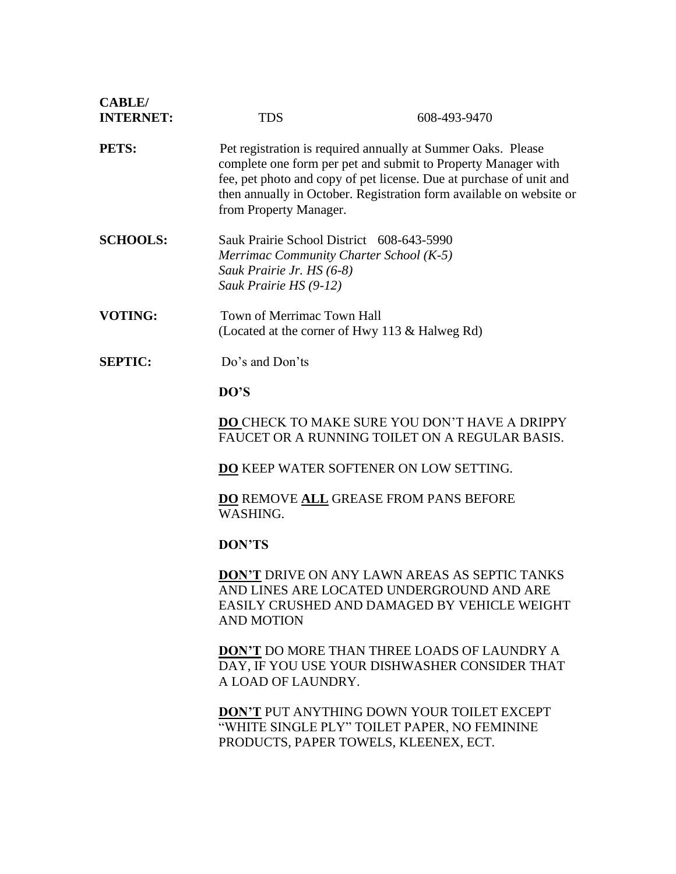| <b>CABLE</b> /<br><b>INTERNET:</b> | <b>TDS</b>                                                                                                                                                                                                                                                                                            | 608-493-9470 |
|------------------------------------|-------------------------------------------------------------------------------------------------------------------------------------------------------------------------------------------------------------------------------------------------------------------------------------------------------|--------------|
| PETS:                              | Pet registration is required annually at Summer Oaks. Please<br>complete one form per pet and submit to Property Manager with<br>fee, pet photo and copy of pet license. Due at purchase of unit and<br>then annually in October. Registration form available on website or<br>from Property Manager. |              |
| <b>SCHOOLS:</b>                    | Sauk Prairie School District 608-643-5990<br>Merrimac Community Charter School (K-5)<br>Sauk Prairie Jr. HS (6-8)<br>Sauk Prairie HS (9-12)                                                                                                                                                           |              |
| <b>VOTING:</b>                     | Town of Merrimac Town Hall<br>(Located at the corner of Hwy 113 & Halweg Rd)                                                                                                                                                                                                                          |              |
| <b>SEPTIC:</b>                     | Do's and Don'ts<br>DO'S                                                                                                                                                                                                                                                                               |              |
|                                    |                                                                                                                                                                                                                                                                                                       |              |
|                                    | DO CHECK TO MAKE SURE YOU DON'T HAVE A DRIPPY<br>FAUCET OR A RUNNING TOILET ON A REGULAR BASIS.                                                                                                                                                                                                       |              |
|                                    | <b>DO</b> KEEP WATER SOFTENER ON LOW SETTING.                                                                                                                                                                                                                                                         |              |
|                                    | <b>DO REMOVE ALL GREASE FROM PANS BEFORE</b><br>WASHING.                                                                                                                                                                                                                                              |              |
|                                    | <b>DON'TS</b>                                                                                                                                                                                                                                                                                         |              |
|                                    | <b>DON'T DRIVE ON ANY LAWN AREAS AS SEPTIC TANKS</b><br>AND LINES ARE LOCATED UNDERGROUND AND ARE<br>EASILY CRUSHED AND DAMAGED BY VEHICLE WEIGHT<br><b>AND MOTION</b>                                                                                                                                |              |
|                                    | <b>DON'T DO MORE THAN THREE LOADS OF LAUNDRY A</b><br>DAY, IF YOU USE YOUR DISHWASHER CONSIDER THAT<br>A LOAD OF LAUNDRY.                                                                                                                                                                             |              |
|                                    | <b>DON'T PUT ANYTHING DOWN YOUR TOILET EXCEPT</b><br>"WHITE SINGLE PLY" TOILET PAPER, NO FEMININE<br>PRODUCTS, PAPER TOWELS, KLEENEX, ECT.                                                                                                                                                            |              |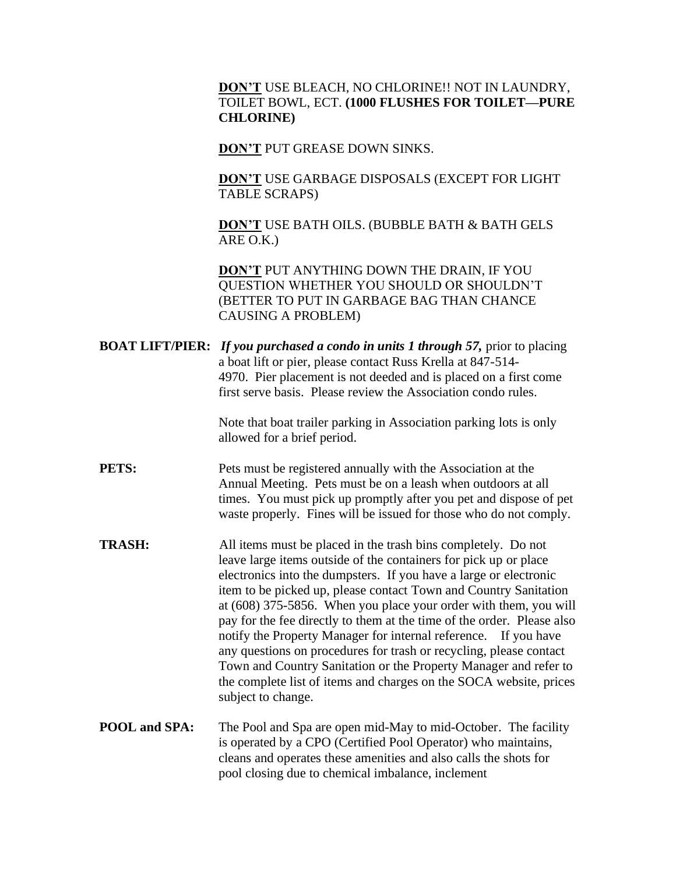## **DON'T** USE BLEACH, NO CHLORINE!! NOT IN LAUNDRY, TOILET BOWL, ECT. **(1000 FLUSHES FOR TOILET—PURE CHLORINE)**

**DON'T** PUT GREASE DOWN SINKS.

**DON'T** USE GARBAGE DISPOSALS (EXCEPT FOR LIGHT TABLE SCRAPS)

**DON'T** USE BATH OILS. (BUBBLE BATH & BATH GELS ARE O.K.)

**DON'T** PUT ANYTHING DOWN THE DRAIN, IF YOU QUESTION WHETHER YOU SHOULD OR SHOULDN'T (BETTER TO PUT IN GARBAGE BAG THAN CHANCE CAUSING A PROBLEM)

**BOAT LIFT/PIER:** *If you purchased a condo in units 1 through 57,* prior to placing a boat lift or pier, please contact Russ Krella at 847-514- 4970. Pier placement is not deeded and is placed on a first come first serve basis. Please review the Association condo rules.

> Note that boat trailer parking in Association parking lots is only allowed for a brief period.

**PETS:** Pets must be registered annually with the Association at the Annual Meeting. Pets must be on a leash when outdoors at all times. You must pick up promptly after you pet and dispose of pet waste properly. Fines will be issued for those who do not comply.

- **TRASH:** All items must be placed in the trash bins completely. Do not leave large items outside of the containers for pick up or place electronics into the dumpsters. If you have a large or electronic item to be picked up, please contact Town and Country Sanitation at (608) 375-5856. When you place your order with them, you will pay for the fee directly to them at the time of the order. Please also notify the Property Manager for internal reference. If you have any questions on procedures for trash or recycling, please contact Town and Country Sanitation or the Property Manager and refer to the complete list of items and charges on the SOCA website, prices subject to change.
- **POOL and SPA:** The Pool and Spa are open mid-May to mid-October. The facility is operated by a CPO (Certified Pool Operator) who maintains, cleans and operates these amenities and also calls the shots for pool closing due to chemical imbalance, inclement